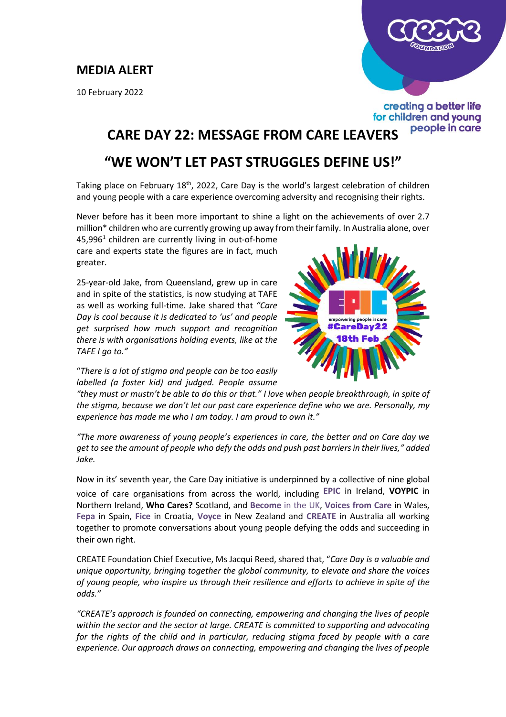### **MEDIA ALERT**

10 February 2022



### creating a better life for children and young people in care

# **CARE DAY 22: MESSAGE FROM CARE LEAVERS**

## **"WE WON'T LET PAST STRUGGLES DEFINE US!"**

Taking place on February 18<sup>th</sup>, 2022, Care Day is the world's largest celebration of children and young people with a care experience overcoming adversity and recognising their rights.

Never before has it been more important to shine a light on the achievements of over 2.7 million\* children who are currently growing up away from their family. In Australia alone, over

45,996<sup>1</sup> children are currently living in out-of-home care and experts state the figures are in fact, much greater.

25-year-old Jake, from Queensland, grew up in care and in spite of the statistics, is now studying at TAFE as well as working full-time. Jake shared that *"Care Day is cool because it is dedicated to 'us' and people get surprised how much support and recognition there is with organisations holding events, like at the TAFE I go to."* 



"*There is a lot of stigma and people can be too easily labelled (a foster kid) and judged. People assume* 

*"they must or mustn't be able to do this or that." I love when people breakthrough, in spite of the stigma, because we don't let our past care experience define who we are. Personally, my experience has made me who I am today. I am proud to own it."*

*"The more awareness of young people's experiences in care, the better and on Care day we get to see the amount of people who defy the odds and push past barriers in their lives," added Jake.*

Now in its' seventh year, the Care Day initiative is underpinned by a collective of nine global voice of care organisations from across the world, including **[EPIC](https://createfoundation.cmail20.com/t/d-l-mlkbjt-ihdlhddjd-j/)** in Ireland, **[VOYPIC](https://createfoundation.cmail20.com/t/d-l-mlkbjt-ihdlhddjd-t/)** in Northern Ireland, **[Who Cares?](https://createfoundation.cmail20.com/t/d-l-mlkbjt-ihdlhddjd-i/)** Scotland, and **[Become](https://createfoundation.cmail20.com/t/d-l-mlkbjt-ihdlhddjd-d/)** in the UK, **Voices from Care** in Wales, **Fepa** in Spain, **Fice** in Croatia, **Voyce** in New Zealand and **CREATE** in Australia all working together to promote conversations about young people defying the odds and succeeding in their own right.

CREATE Foundation Chief Executive, Ms Jacqui Reed, shared that, "*Care Day is a valuable and unique opportunity, bringing together the global community, to elevate and share the voices of young people, who inspire us through their resilience and efforts to achieve in spite of the odds."*

*"CREATE's approach is founded on connecting, empowering and changing the lives of people within the sector and the sector at large. CREATE is committed to supporting and advocating for the rights of the child and in particular, reducing stigma faced by people with a care experience. Our approach draws on connecting, empowering and changing the lives of people*